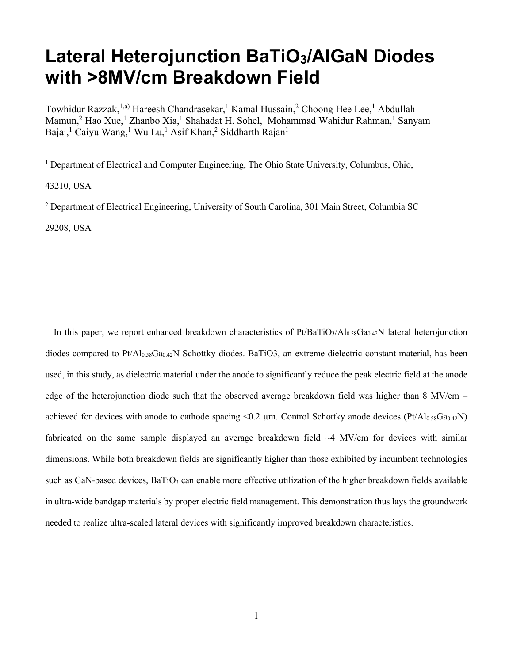## **Lateral Heterojunction BaTiO3/AlGaN Diodes with >8MV/cm Breakdown Field**

Towhidur Razzak,<sup>1,a)</sup> Hareesh Chandrasekar,<sup>1</sup> Kamal Hussain,<sup>2</sup> Choong Hee Lee,<sup>1</sup> Abdullah Mamun,<sup>2</sup> Hao Xue,<sup>1</sup> Zhanbo Xia,<sup>1</sup> Shahadat H. Sohel,<sup>1</sup> Mohammad Wahidur Rahman,<sup>1</sup> Sanyam Bajaj,<sup>1</sup> Caiyu Wang,<sup>1</sup> Wu Lu,<sup>1</sup> Asif Khan,<sup>2</sup> Siddharth Rajan<sup>1</sup>

<sup>1</sup> Department of Electrical and Computer Engineering, The Ohio State University, Columbus, Ohio,

43210, USA

<sup>2</sup> Department of Electrical Engineering, University of South Carolina, 301 Main Street, Columbia SC

29208, USA

In this paper, we report enhanced breakdown characteristics of  $Pt/BaTiO<sub>3</sub>/Al<sub>0.58</sub>Ga<sub>0.42</sub>N$  lateral heterojunction diodes compared to  $Pt/Al_{0.58}Ga_{0.42}N$  Schottky diodes. BaTiO3, an extreme dielectric constant material, has been used, in this study, as dielectric material under the anode to significantly reduce the peak electric field at the anode edge of the heterojunction diode such that the observed average breakdown field was higher than 8 MV/cm – achieved for devices with anode to cathode spacing  $\leq 0.2$  µm. Control Schottky anode devices (Pt/Al<sub>0.58</sub>Ga<sub>0.42</sub>N) fabricated on the same sample displayed an average breakdown field ~4 MV/cm for devices with similar dimensions. While both breakdown fields are significantly higher than those exhibited by incumbent technologies such as GaN-based devices, BaTiO<sub>3</sub> can enable more effective utilization of the higher breakdown fields available in ultra-wide bandgap materials by proper electric field management. This demonstration thus lays the groundwork needed to realize ultra-scaled lateral devices with significantly improved breakdown characteristics.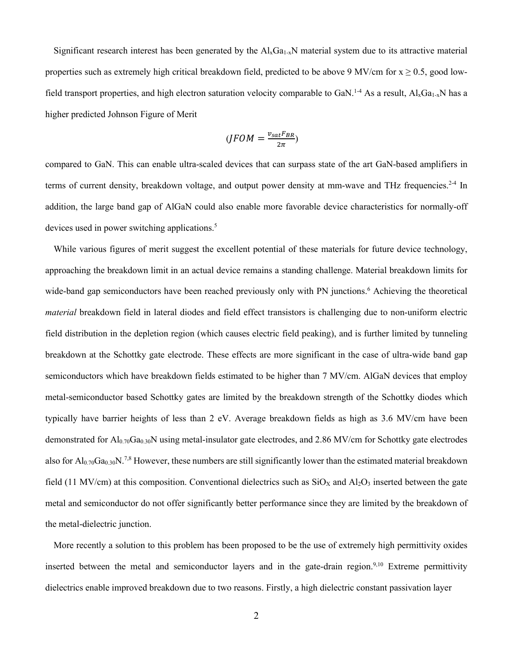Significant research interest has been generated by the  $A\vert_{x}Ga_{1-x}N$  material system due to its attractive material properties such as extremely high critical breakdown field, predicted to be above 9 MV/cm for  $x \ge 0.5$ , good lowfield transport properties, and high electron saturation velocity comparable to GaN.<sup>1-4</sup> As a result,  $Al_xGa_{1-x}N$  has a higher predicted Johnson Figure of Merit

$$
(JFOM = \frac{v_{sat}F_{BR}}{2\pi})
$$

compared to GaN. This can enable ultra-scaled devices that can surpass state of the art GaN-based amplifiers in terms of current density, breakdown voltage, and output power density at mm-wave and THz frequencies.<sup>2-4</sup> In addition, the large band gap of AlGaN could also enable more favorable device characteristics for normally-off devices used in power switching applications. 5

While various figures of merit suggest the excellent potential of these materials for future device technology, approaching the breakdown limit in an actual device remains a standing challenge. Material breakdown limits for wide-band gap semiconductors have been reached previously only with PN junctions. <sup>6</sup> Achieving the theoretical *material* breakdown field in lateral diodes and field effect transistors is challenging due to non-uniform electric field distribution in the depletion region (which causes electric field peaking), and is further limited by tunneling breakdown at the Schottky gate electrode. These effects are more significant in the case of ultra-wide band gap semiconductors which have breakdown fields estimated to be higher than 7 MV/cm. AlGaN devices that employ metal-semiconductor based Schottky gates are limited by the breakdown strength of the Schottky diodes which typically have barrier heights of less than 2 eV. Average breakdown fields as high as 3.6 MV/cm have been demonstrated for  $Al_{0.70}Ga_{0.30}N$  using metal-insulator gate electrodes, and 2.86 MV/cm for Schottky gate electrodes also for  $Al_{0.70}Ga_{0.30}N^{7.8}$  However, these numbers are still significantly lower than the estimated material breakdown field (11 MV/cm) at this composition. Conventional dielectrics such as  $SiO<sub>X</sub>$  and  $Al<sub>2</sub>O<sub>3</sub>$  inserted between the gate metal and semiconductor do not offer significantly better performance since they are limited by the breakdown of the metal-dielectric junction.

More recently a solution to this problem has been proposed to be the use of extremely high permittivity oxides inserted between the metal and semiconductor layers and in the gate-drain region.<sup>9,10</sup> Extreme permittivity dielectrics enable improved breakdown due to two reasons. Firstly, a high dielectric constant passivation layer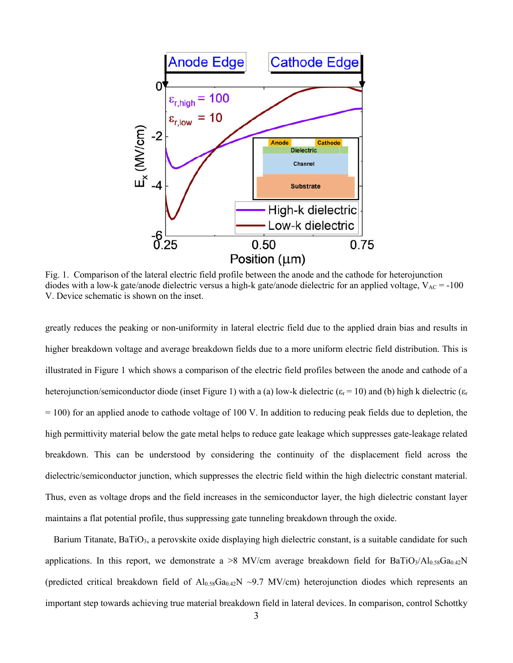

Fig. 1. Comparison of the lateral electric field profile between the anode and the cathode for heterojunction diodes with a low-k gate/anode dielectric versus a high-k gate/anode dielectric for an applied voltage,  $V_{AC} = -100$ V. Device schematic is shown on the inset.

greatly reduces the peaking or non-uniformity in lateral electric field due to the applied drain bias and results in higher breakdown voltage and average breakdown fields due to a more uniform electric field distribution. This is illustrated in Figure 1 which shows a comparison of the electric field profiles between the anode and cathode of a heterojunction/semiconductor diode (inset Figure 1) with a (a) low-k dielectric ( $\varepsilon_r = 10$ ) and (b) high k dielectric ( $\varepsilon_r$  $= 100$ ) for an applied anode to cathode voltage of 100 V. In addition to reducing peak fields due to depletion, the high permittivity material below the gate metal helps to reduce gate leakage which suppresses gate-leakage related breakdown. This can be understood by considering the continuity of the displacement field across the dielectric/semiconductor junction, which suppresses the electric field within the high dielectric constant material. Thus, even as voltage drops and the field increases in the semiconductor layer, the high dielectric constant layer maintains a flat potential profile, thus suppressing gate tunneling breakdown through the oxide.

Barium Titanate, BaTiO<sub>3</sub>, a perovskite oxide displaying high dielectric constant, is a suitable candidate for such applications. In this report, we demonstrate a  $>8$  MV/cm average breakdown field for BaTiO<sub>3</sub>/Al<sub>0.58</sub>Ga<sub>0.42</sub>N (predicted critical breakdown field of  $Al_{0.58}Ga_{0.42}N \sim 9.7$  MV/cm) heterojunction diodes which represents an important step towards achieving true material breakdown field in lateral devices. In comparison, control Schottky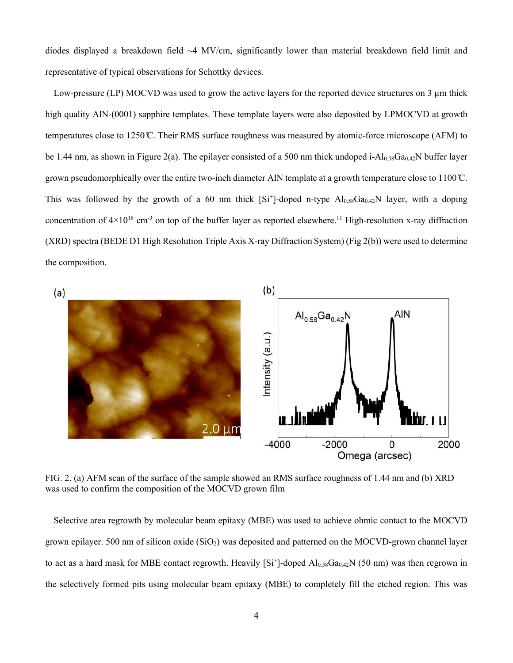diodes displayed a breakdown field  $\sim$ 4 MV/cm, significantly lower than material breakdown field limit and representative of typical observations for Schottky devices.

Low-pressure (LP) MOCVD was used to grow the active layers for the reported device structures on 3 µm thick high quality AlN-(0001) sapphire templates. These template layers were also deposited by LPMOCVD at growth temperatures close to 1250 ̊C. Their RMS surface roughness was measured by atomic-force microscope (AFM) to be 1.44 nm, as shown in Figure 2(a). The epilayer consisted of a 500 nm thick undoped i-Al<sub>0.58</sub>Ga<sub>0.42</sub>N buffer layer grown pseudomorphically over the entire two-inch diameter AlN template at a growth temperature close to  $1100^{\circ}$ C. This was followed by the growth of a 60 nm thick  $[S_i^+]$ -doped n-type  $Al_{0.58}Ga_{0.42}N$  layer, with a doping concentration of  $4\times10^{18}$  cm<sup>-3</sup> on top of the buffer layer as reported elsewhere.<sup>11</sup> High-resolution x-ray diffraction (XRD) spectra (BEDE D1 High Resolution Triple Axis X-ray Diffraction System) (Fig 2(b)) were used to determine the composition.



FIG. 2. (a) AFM scan of the surface of the sample showed an RMS surface roughness of 1.44 nm and (b) XRD was used to confirm the composition of the MOCVD grown film

Selective area regrowth by molecular beam epitaxy (MBE) was used to achieve ohmic contact to the MOCVD grown epilayer. 500 nm of silicon oxide  $(SiO<sub>2</sub>)$  was deposited and patterned on the MOCVD-grown channel layer to act as a hard mask for MBE contact regrowth. Heavily  $[Si^+]$ -doped  $Al_{0.58}Ga_{0.42}N$  (50 nm) was then regrown in the selectively formed pits using molecular beam epitaxy (MBE) to completely fill the etched region. This was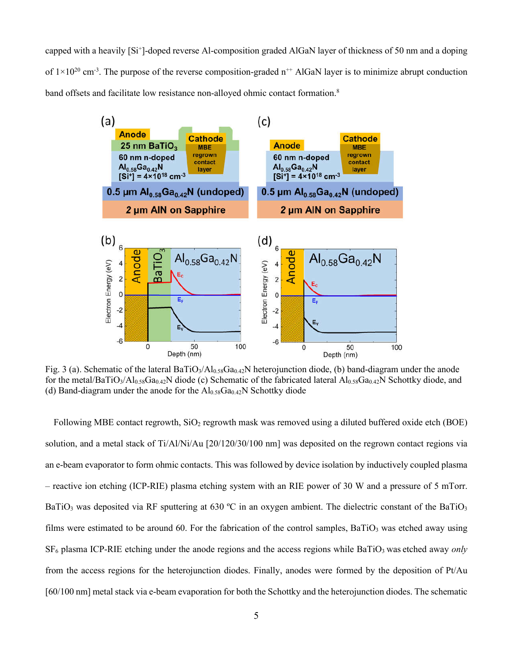capped with a heavily [Si<sup>+</sup>]-doped reverse Al-composition graded AlGaN layer of thickness of 50 nm and a doping of  $1 \times 10^{20}$  cm<sup>-3</sup>. The purpose of the reverse composition-graded n<sup>++</sup> AlGaN layer is to minimize abrupt conduction band offsets and facilitate low resistance non-alloyed ohmic contact formation.<sup>8</sup>



Fig. 3 (a). Schematic of the lateral BaTiO<sub>3</sub>/Al<sub>0.58</sub>Ga<sub>0.42</sub>N heterojunction diode, (b) band-diagram under the anode for the metal/BaTiO<sub>3</sub>/Al<sub>0.58</sub>Ga<sub>0.42</sub>N diode (c) Schematic of the fabricated lateral Al<sub>0.58</sub>Ga<sub>0.42</sub>N Schottky diode, and (d) Band-diagram under the anode for the  $Al_{0.58}Ga_{0.42}N$  Schottky diode

Following MBE contact regrowth,  $SiO<sub>2</sub>$  regrowth mask was removed using a diluted buffered oxide etch (BOE) solution, and a metal stack of Ti/Al/Ni/Au [20/120/30/100 nm] was deposited on the regrown contact regions via an e-beam evaporator to form ohmic contacts. This was followed by device isolation by inductively coupled plasma – reactive ion etching (ICP-RIE) plasma etching system with an RIE power of 30 W and a pressure of 5 mTorr. BaTiO<sub>3</sub> was deposited via RF sputtering at 630 °C in an oxygen ambient. The dielectric constant of the BaTiO<sub>3</sub> films were estimated to be around 60. For the fabrication of the control samples,  $BaTiO<sub>3</sub>$  was etched away using SF6 plasma ICP-RIE etching under the anode regions and the access regions while BaTiO3 was etched away *only* from the access regions for the heterojunction diodes. Finally, anodes were formed by the deposition of Pt/Au [60/100 nm] metal stack via e-beam evaporation for both the Schottky and the heterojunction diodes. The schematic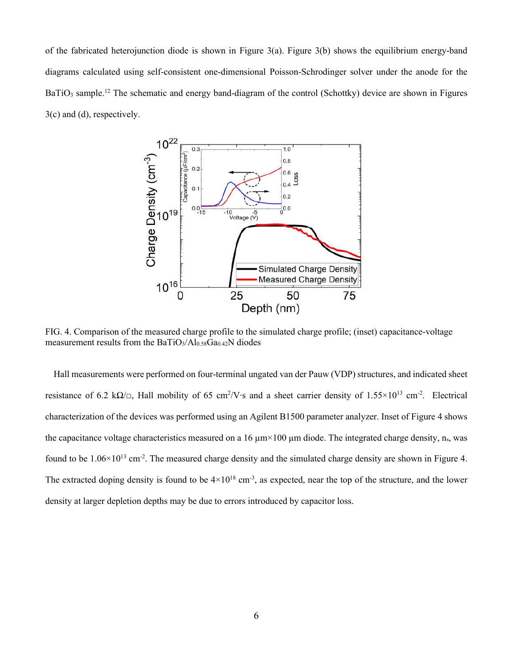of the fabricated heterojunction diode is shown in Figure 3(a). Figure 3(b) shows the equilibrium energy-band diagrams calculated using self-consistent one-dimensional Poisson-Schrodinger solver under the anode for the BaTiO<sub>3</sub> sample.<sup>12</sup> The schematic and energy band-diagram of the control (Schottky) device are shown in Figures 3(c) and (d), respectively.



FIG. 4. Comparison of the measured charge profile to the simulated charge profile; (inset) capacitance-voltage measurement results from the  $BaTiO<sub>3</sub>/Al<sub>0.58</sub>Ga<sub>0.42</sub>N$  diodes

Hall measurements were performed on four-terminal ungated van der Pauw (VDP) structures, and indicated sheet resistance of 6.2 k $\Omega/\square$ , Hall mobility of 65 cm<sup>2</sup>/V⋅s and a sheet carrier density of 1.55×10<sup>13</sup> cm<sup>-2</sup>. Electrical characterization of the devices was performed using an Agilent B1500 parameter analyzer. Inset of Figure 4 shows the capacitance voltage characteristics measured on a 16  $\mu$ m×100  $\mu$ m diode. The integrated charge density, n<sub>s</sub>, was found to be  $1.06 \times 10^{13}$  cm<sup>-2</sup>. The measured charge density and the simulated charge density are shown in Figure 4. The extracted doping density is found to be  $4\times10^{18}$  cm<sup>-3</sup>, as expected, near the top of the structure, and the lower density at larger depletion depths may be due to errors introduced by capacitor loss.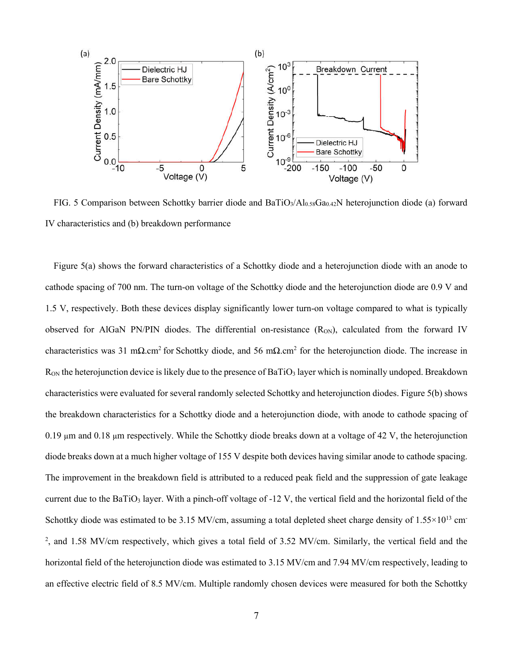

FIG. 5 Comparison between Schottky barrier diode and BaTiO<sub>3</sub>/Al<sub>0.58</sub>Ga<sub>0.42</sub>N heterojunction diode (a) forward IV characteristics and (b) breakdown performance

Figure 5(a) shows the forward characteristics of a Schottky diode and a heterojunction diode with an anode to cathode spacing of 700 nm. The turn-on voltage of the Schottky diode and the heterojunction diode are 0.9 V and 1.5 V, respectively. Both these devices display significantly lower turn-on voltage compared to what is typically observed for AlGaN PN/PIN diodes. The differential on-resistance  $(R_{ON})$ , calculated from the forward IV characteristics was 31 mΩ.cm<sup>2</sup> for Schottky diode, and 56 mΩ.cm<sup>2</sup> for the heterojunction diode. The increase in  $R_{ON}$  the heterojunction device is likely due to the presence of BaTiO<sub>3</sub> layer which is nominally undoped. Breakdown characteristics were evaluated for several randomly selected Schottky and heterojunction diodes. Figure 5(b) shows the breakdown characteristics for a Schottky diode and a heterojunction diode, with anode to cathode spacing of 0.19 µm and 0.18 µm respectively. While the Schottky diode breaks down at a voltage of 42 V, the heterojunction diode breaks down at a much higher voltage of 155 V despite both devices having similar anode to cathode spacing. The improvement in the breakdown field is attributed to a reduced peak field and the suppression of gate leakage current due to the BaTiO<sub>3</sub> layer. With a pinch-off voltage of  $-12$  V, the vertical field and the horizontal field of the Schottky diode was estimated to be 3.15 MV/cm, assuming a total depleted sheet charge density of  $1.55 \times 10^{13}$  cm<sup>-</sup> 2 , and 1.58 MV/cm respectively, which gives a total field of 3.52 MV/cm. Similarly, the vertical field and the horizontal field of the heterojunction diode was estimated to 3.15 MV/cm and 7.94 MV/cm respectively, leading to an effective electric field of 8.5 MV/cm. Multiple randomly chosen devices were measured for both the Schottky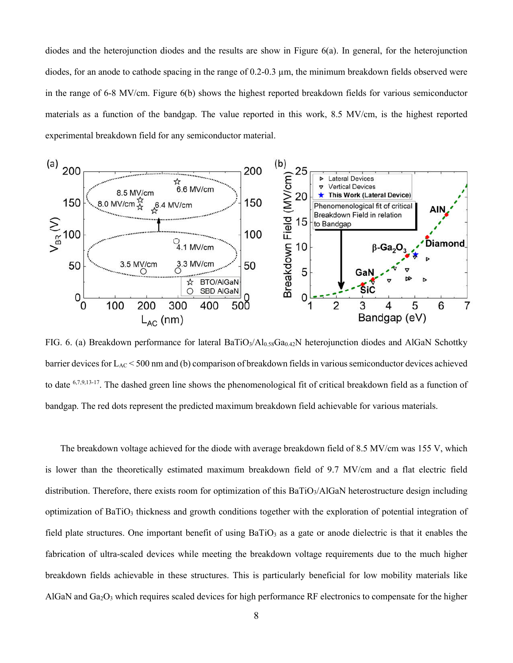diodes and the heterojunction diodes and the results are show in Figure 6(a). In general, for the heterojunction diodes, for an anode to cathode spacing in the range of 0.2-0.3 µm, the minimum breakdown fields observed were in the range of 6-8 MV/cm. Figure 6(b) shows the highest reported breakdown fields for various semiconductor materials as a function of the bandgap. The value reported in this work, 8.5 MV/cm, is the highest reported experimental breakdown field for any semiconductor material.



FIG. 6. (a) Breakdown performance for lateral BaTiO<sub>3</sub>/Al<sub>0.58</sub>Ga<sub>0.42</sub>N heterojunction diodes and AlGaN Schottky barrier devices for  $L_{AC}$  < 500 nm and (b) comparison of breakdown fields in various semiconductor devices achieved to date 6,7,9,13-17. The dashed green line shows the phenomenological fit of critical breakdown field as a function of bandgap. The red dots represent the predicted maximum breakdown field achievable for various materials.

The breakdown voltage achieved for the diode with average breakdown field of 8.5 MV/cm was 155 V, which is lower than the theoretically estimated maximum breakdown field of 9.7 MV/cm and a flat electric field distribution. Therefore, there exists room for optimization of this BaTiO<sub>3</sub>/AlGaN heterostructure design including optimization of  $BaTiO<sub>3</sub>$  thickness and growth conditions together with the exploration of potential integration of field plate structures. One important benefit of using  $BaTiO<sub>3</sub>$  as a gate or anode dielectric is that it enables the fabrication of ultra-scaled devices while meeting the breakdown voltage requirements due to the much higher breakdown fields achievable in these structures. This is particularly beneficial for low mobility materials like AlGaN and  $Ga_2O_3$  which requires scaled devices for high performance RF electronics to compensate for the higher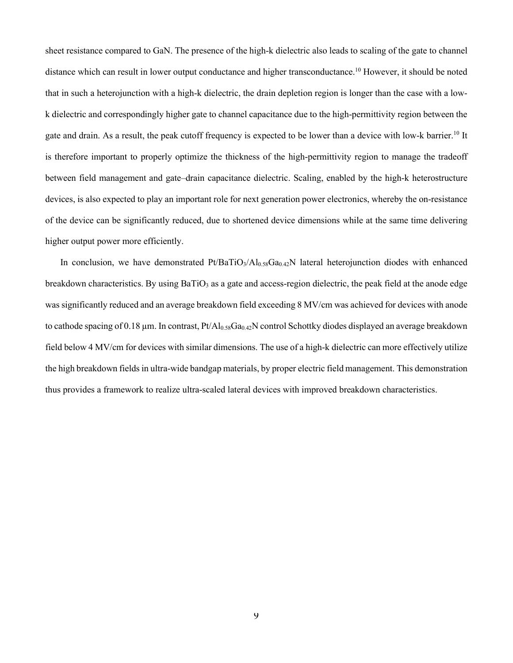sheet resistance compared to GaN. The presence of the high-k dielectric also leads to scaling of the gate to channel distance which can result in lower output conductance and higher transconductance.<sup>10</sup> However, it should be noted that in such a heterojunction with a high-k dielectric, the drain depletion region is longer than the case with a lowk dielectric and correspondingly higher gate to channel capacitance due to the high-permittivity region between the gate and drain. As a result, the peak cutoff frequency is expected to be lower than a device with low-k barrier.<sup>10</sup> It is therefore important to properly optimize the thickness of the high-permittivity region to manage the tradeoff between field management and gate–drain capacitance dielectric. Scaling, enabled by the high-k heterostructure devices, is also expected to play an important role for next generation power electronics, whereby the on-resistance of the device can be significantly reduced, due to shortened device dimensions while at the same time delivering higher output power more efficiently.

In conclusion, we have demonstrated  $PtBaTiO<sub>3</sub>/Al<sub>0.58</sub>Ga<sub>0.42</sub>N$  lateral heterojunction diodes with enhanced breakdown characteristics. By using  $BaTiO<sub>3</sub>$  as a gate and access-region dielectric, the peak field at the anode edge was significantly reduced and an average breakdown field exceeding 8 MV/cm was achieved for devices with anode to cathode spacing of 0.18  $\mu$ m. In contrast, Pt/Al<sub>0.58</sub>Ga<sub>0.42</sub>N control Schottky diodes displayed an average breakdown field below 4 MV/cm for devices with similar dimensions. The use of a high-k dielectric can more effectively utilize the high breakdown fields in ultra-wide bandgap materials, by proper electric field management. This demonstration thus provides a framework to realize ultra-scaled lateral devices with improved breakdown characteristics.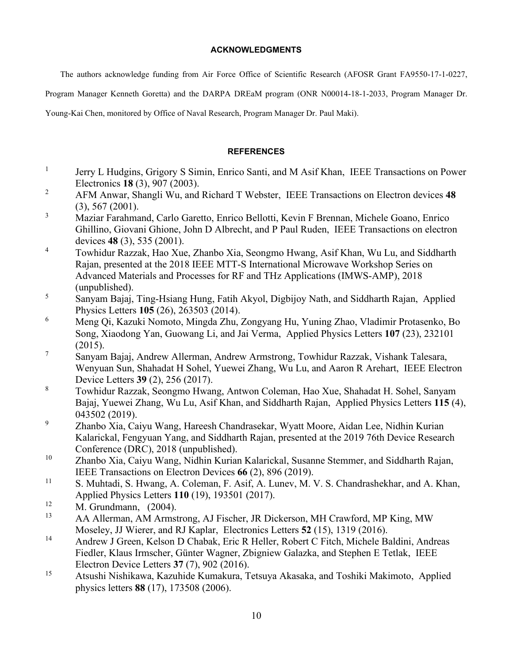## **ACKNOWLEDGMENTS**

The authors acknowledge funding from Air Force Office of Scientific Research (AFOSR Grant FA9550-17-1-0227,

Program Manager Kenneth Goretta) and the DARPA DREaM program (ONR N00014-18-1-2033, Program Manager Dr.

Young-Kai Chen, monitored by Office of Naval Research, Program Manager Dr. Paul Maki).

## **REFERENCES**

- <sup>1</sup> Jerry L Hudgins, Grigory S Simin, Enrico Santi, and M Asif Khan, IEEE Transactions on Power Electronics **18** (3), 907 (2003).
- <sup>2</sup> AFM Anwar, Shangli Wu, and Richard T Webster, IEEE Transactions on Electron devices **48** (3), 567 (2001).
- <sup>3</sup> Maziar Farahmand, Carlo Garetto, Enrico Bellotti, Kevin F Brennan, Michele Goano, Enrico Ghillino, Giovani Ghione, John D Albrecht, and P Paul Ruden, IEEE Transactions on electron devices **48** (3), 535 (2001).
- <sup>4</sup> Towhidur Razzak, Hao Xue, Zhanbo Xia, Seongmo Hwang, Asif Khan, Wu Lu, and Siddharth Rajan, presented at the 2018 IEEE MTT-S International Microwave Workshop Series on Advanced Materials and Processes for RF and THz Applications (IMWS-AMP), 2018 (unpublished).
- <sup>5</sup> Sanyam Bajaj, Ting-Hsiang Hung, Fatih Akyol, Digbijoy Nath, and Siddharth Rajan, Applied Physics Letters **105** (26), 263503 (2014).
- <sup>6</sup> Meng Qi, Kazuki Nomoto, Mingda Zhu, Zongyang Hu, Yuning Zhao, Vladimir Protasenko, Bo Song, Xiaodong Yan, Guowang Li, and Jai Verma, Applied Physics Letters **107** (23), 232101 (2015).
- <sup>7</sup> Sanyam Bajaj, Andrew Allerman, Andrew Armstrong, Towhidur Razzak, Vishank Talesara, Wenyuan Sun, Shahadat H Sohel, Yuewei Zhang, Wu Lu, and Aaron R Arehart, IEEE Electron Device Letters **39** (2), 256 (2017).
- <sup>8</sup> Towhidur Razzak, Seongmo Hwang, Antwon Coleman, Hao Xue, Shahadat H. Sohel, Sanyam Bajaj, Yuewei Zhang, Wu Lu, Asif Khan, and Siddharth Rajan, Applied Physics Letters **115** (4), 043502 (2019).
- <sup>9</sup> Zhanbo Xia, Caiyu Wang, Hareesh Chandrasekar, Wyatt Moore, Aidan Lee, Nidhin Kurian Kalarickal, Fengyuan Yang, and Siddharth Rajan, presented at the 2019 76th Device Research Conference (DRC), 2018 (unpublished).
- <sup>10</sup> Zhanbo Xia, Caiyu Wang, Nidhin Kurian Kalarickal, Susanne Stemmer, and Siddharth Rajan, IEEE Transactions on Electron Devices **66** (2), 896 (2019).
- <sup>11</sup> S. Muhtadi, S. Hwang, A. Coleman, F. Asif, A. Lunev, M. V. S. Chandrashekhar, and A. Khan, Applied Physics Letters **110** (19), 193501 (2017).
- <sup>12</sup> M. Grundmann, (2004).
- <sup>13</sup> AA Allerman, AM Armstrong, AJ Fischer, JR Dickerson, MH Crawford, MP King, MW Moseley, JJ Wierer, and RJ Kaplar, Electronics Letters **52** (15), 1319 (2016).
- <sup>14</sup> Andrew J Green, Kelson D Chabak, Eric R Heller, Robert C Fitch, Michele Baldini, Andreas Fiedler, Klaus Irmscher, Günter Wagner, Zbigniew Galazka, and Stephen E Tetlak, IEEE Electron Device Letters **37** (7), 902 (2016).
- <sup>15</sup> Atsushi Nishikawa, Kazuhide Kumakura, Tetsuya Akasaka, and Toshiki Makimoto, Applied physics letters **88** (17), 173508 (2006).